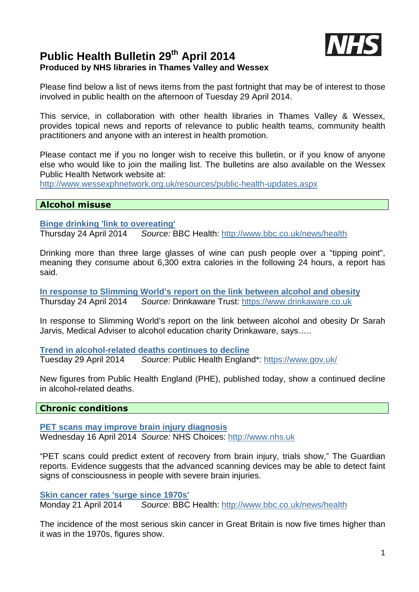

# **Public Health Bulletin 29th April 2014 Produced by NHS libraries in Thames Valley and Wessex**

Please find below a list of news items from the past fortnight that may be of interest to those involved in public health on the afternoon of Tuesday 29 April 2014.

This service, in collaboration with other health libraries in Thames Valley & Wessex, provides topical news and reports of relevance to public health teams, community health practitioners and anyone with an interest in health promotion.

Please contact me if you no longer wish to receive this bulletin, or if you know of anyone else who would like to join the mailing list. The bulletins are also available on the Wessex Public Health Network website at:

http://www.wessexphnetwork.org.uk/resources/public-health-updates.aspx

## **Alcohol misuse**

**Binge drinking 'link to overeating'**

Thursday 24 April 2014 Source: BBC Health: http://www.bbc.co.uk/news/health

Drinking more than three large glasses of wine can push people over a "tipping point", meaning they consume about 6,300 extra calories in the following 24 hours, a report has said.

**In response to Slimming World's report on the link between alcohol and obesity** Thursday 24 April 2014 Source: Drinkaware Trust: https://www.drinkaware.co.uk

In response to Slimming World's report on the link between alcohol and obesity Dr Sarah Jarvis, Medical Adviser to alcohol education charity Drinkaware, says…..

**Trend in alcohol-related deaths continues to decline** Tuesday 29 April 2014 Source: Public Health England\*: https://www.gov.uk/

New figures from Public Health England (PHE), published today, show a continued decline in alcohol-related deaths.

## **Chronic conditions**

**PET scans may improve brain injury diagnosis** Wednesday 16 April 2014 Source: NHS Choices: http://www.nhs.uk

"PET scans could predict extent of recovery from brain injury, trials show," The Guardian reports. Evidence suggests that the advanced scanning devices may be able to detect faint signs of consciousness in people with severe brain injuries.

**Skin cancer rates 'surge since 1970s'** Monday 21 April 2014 Source: BBC Health: http://www.bbc.co.uk/news/health

The incidence of the most serious skin cancer in Great Britain is now five times higher than it was in the 1970s, figures show.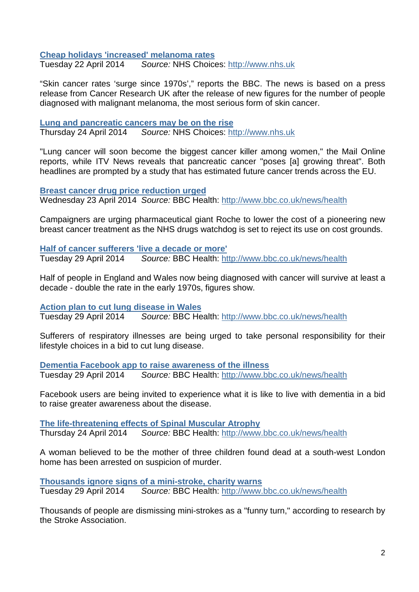**Cheap holidays 'increased' melanoma rates**

Tuesday 22 April 2014 Source: NHS Choices: http://www.nhs.uk

"Skin cancer rates 'surge since 1970s'," reports the BBC. The news is based on a press release from Cancer Research UK after the release of new figures for the number of people diagnosed with malignant melanoma, the most serious form of skin cancer.

# **Lung and pancreatic cancers may be on the rise**

Thursday 24 April 2014 Source: NHS Choices: http://www.nhs.uk

"Lung cancer will soon become the biggest cancer killer among women," the Mail Online reports, while ITV News reveals that pancreatic cancer "poses [a] growing threat". Both headlines are prompted by a study that has estimated future cancer trends across the EU.

**Breast cancer drug price reduction urged**

Wednesday 23 April 2014 Source: BBC Health: http://www.bbc.co.uk/news/health

Campaigners are urging pharmaceutical giant Roche to lower the cost of a pioneering new breast cancer treatment as the NHS drugs watchdog is set to reject its use on cost grounds.

**Half of cancer sufferers 'live a decade or more'** Tuesday 29 April 2014 Source: BBC Health: http://www.bbc.co.uk/news/health

Half of people in England and Wales now being diagnosed with cancer will survive at least a decade - double the rate in the early 1970s, figures show.

**Action plan to cut lung disease in Wales**

Tuesday 29 April 2014 Source: BBC Health: http://www.bbc.co.uk/news/health

Sufferers of respiratory illnesses are being urged to take personal responsibility for their lifestyle choices in a bid to cut lung disease.

**Dementia Facebook app to raise awareness of the illness** Tuesday 29 April 2014 Source: BBC Health: http://www.bbc.co.uk/news/health

Facebook users are being invited to experience what it is like to live with dementia in a bid to raise greater awareness about the disease.

**The life-threatening effects of Spinal Muscular Atrophy** Thursday 24 April 2014 Source: BBC Health: http://www.bbc.co.uk/news/health

A woman believed to be the mother of three children found dead at a south-west London home has been arrested on suspicion of murder.

**Thousands ignore signs of a mini-stroke, charity warns** Tuesday 29 April 2014 Source: BBC Health: http://www.bbc.co.uk/news/health

Thousands of people are dismissing mini-strokes as a "funny turn," according to research by the Stroke Association.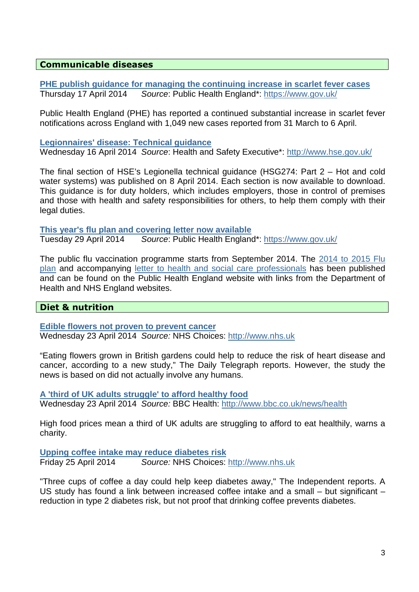# **Communicable diseases**

**PHE publish guidance for managing the continuing increase in scarlet fever cases** Thursday 17 April 2014 Source: Public Health England\*: https://www.gov.uk/

Public Health England (PHE) has reported a continued substantial increase in scarlet fever notifications across England with 1,049 new cases reported from 31 March to 6 April.

#### **Legionnaires' disease: Technical guidance**

Wednesday 16 April 2014 Source: Health and Safety Executive\*: http://www.hse.gov.uk/

The final section of HSE's Legionella technical guidance (HSG274: Part 2 – Hot and cold water systems) was published on 8 April 2014. Each section is now available to download. This guidance is for duty holders, which includes employers, those in control of premises and those with health and safety responsibilities for others, to help them comply with their legal duties.

**This year's flu plan and covering letter now available**

Tuesday 29 April 2014 Source: Public Health England\*: https://www.gov.uk/

The public flu vaccination programme starts from September 2014. The 2014 to 2015 Flu plan and accompanying letter to health and social care professionals has been published and can be found on the Public Health England website with links from the Department of Health and NHS England websites.

# **Diet & nutrition**

**Edible flowers not proven to prevent cancer** Wednesday 23 April 2014 Source: NHS Choices: http://www.nhs.uk

"Eating flowers grown in British gardens could help to reduce the risk of heart disease and cancer, according to a new study," The Daily Telegraph reports. However, the study the news is based on did not actually involve any humans.

**A 'third of UK adults struggle' to afford healthy food** Wednesday 23 April 2014 Source: BBC Health: http://www.bbc.co.uk/news/health

High food prices mean a third of UK adults are struggling to afford to eat healthily, warns a charity.

**Upping coffee intake may reduce diabetes risk** Friday 25 April 2014 Source: NHS Choices: http://www.nhs.uk

"Three cups of coffee a day could help keep diabetes away," The Independent reports. A US study has found a link between increased coffee intake and a small – but significant – reduction in type 2 diabetes risk, but not proof that drinking coffee prevents diabetes.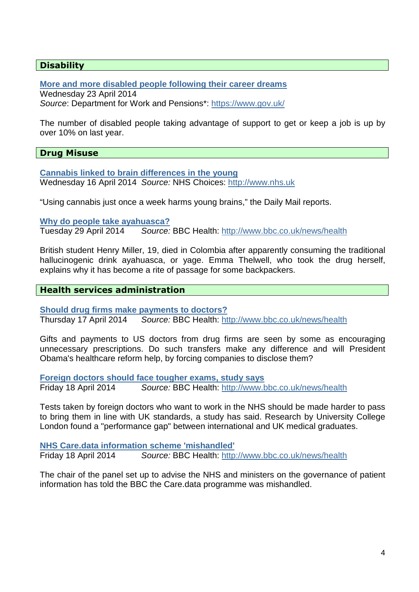# **Disability**

**More and more disabled people following their career dreams**

Wednesday 23 April 2014 Source: Department for Work and Pensions\*: https://www.gov.uk/

The number of disabled people taking advantage of support to get or keep a job is up by over 10% on last year.

# **Drug Misuse**

**Cannabis linked to brain differences in the young** Wednesday 16 April 2014 Source: NHS Choices: http://www.nhs.uk

"Using cannabis just once a week harms young brains," the Daily Mail reports.

**Why do people take ayahuasca?**

Tuesday 29 April 2014 Source: BBC Health: http://www.bbc.co.uk/news/health

British student Henry Miller, 19, died in Colombia after apparently consuming the traditional hallucinogenic drink ayahuasca, or yage. Emma Thelwell, who took the drug herself, explains why it has become a rite of passage for some backpackers.

#### **Health services administration**

**Should drug firms make payments to doctors?**

Thursday 17 April 2014 Source: BBC Health: http://www.bbc.co.uk/news/health

Gifts and payments to US doctors from drug firms are seen by some as encouraging unnecessary prescriptions. Do such transfers make any difference and will President Obama's healthcare reform help, by forcing companies to disclose them?

**Foreign doctors should face tougher exams, study says**

Friday 18 April 2014 Source: BBC Health: http://www.bbc.co.uk/news/health

Tests taken by foreign doctors who want to work in the NHS should be made harder to pass to bring them in line with UK standards, a study has said. Research by University College London found a "performance gap" between international and UK medical graduates.

**NHS Care.data information scheme 'mishandled'** Friday 18 April 2014 Source: BBC Health: http://www.bbc.co.uk/news/health

The chair of the panel set up to advise the NHS and ministers on the governance of patient information has told the BBC the Care.data programme was mishandled.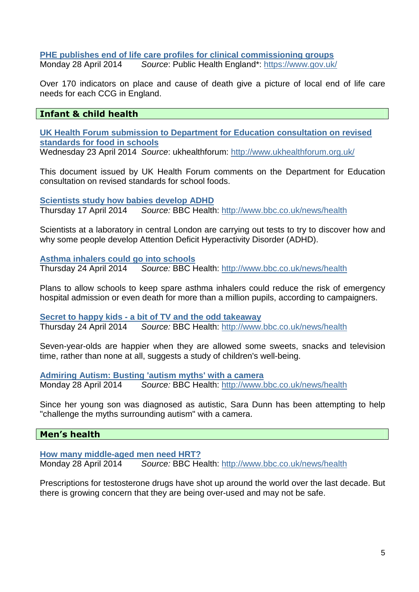# **PHE publishes end of life care profiles for clinical commissioning groups**

Monday 28 April 2014 Source: Public Health England\*: https://www.gov.uk/

Over 170 indicators on place and cause of death give a picture of local end of life care needs for each CCG in England.

# **Infant & child health**

**UK Health Forum submission to Department for Education consultation on revised standards for food in schools**

Wednesday 23 April 2014 Source: ukhealthforum: http://www.ukhealthforum.org.uk/

This document issued by UK Health Forum comments on the Department for Education consultation on revised standards for school foods.

**Scientists study how babies develop ADHD** Thursday 17 April 2014 Source: BBC Health: http://www.bbc.co.uk/news/health

Scientists at a laboratory in central London are carrying out tests to try to discover how and why some people develop Attention Deficit Hyperactivity Disorder (ADHD).

**Asthma inhalers could go into schools**

Thursday 24 April 2014 Source: BBC Health: http://www.bbc.co.uk/news/health

Plans to allow schools to keep spare asthma inhalers could reduce the risk of emergency hospital admission or even death for more than a million pupils, according to campaigners.

**Secret to happy kids - a bit of TV and the odd takeaway** Thursday 24 April 2014 Source: BBC Health: http://www.bbc.co.uk/news/health

Seven-year-olds are happier when they are allowed some sweets, snacks and television time, rather than none at all, suggests a study of children's well-being.

**Admiring Autism: Busting 'autism myths' with a camera** Monday 28 April 2014 Source: BBC Health: http://www.bbc.co.uk/news/health

Since her young son was diagnosed as autistic, Sara Dunn has been attempting to help "challenge the myths surrounding autism" with a camera.

# **Men's health**

**How many middle-aged men need HRT?** Monday 28 April 2014 Source: BBC Health: http://www.bbc.co.uk/news/health

Prescriptions for testosterone drugs have shot up around the world over the last decade. But there is growing concern that they are being over-used and may not be safe.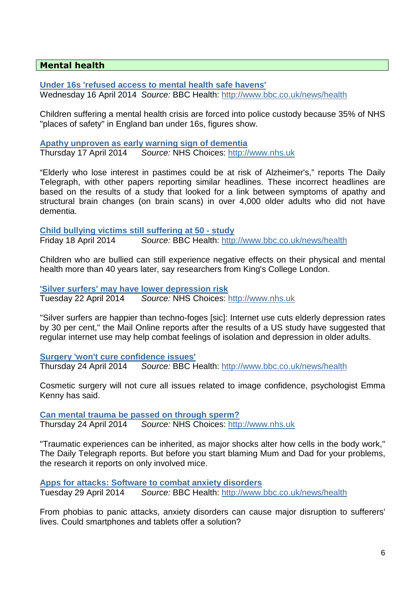# **Mental health**

**Under 16s 'refused access to mental health safe havens'** Wednesday 16 April 2014 Source: BBC Health: http://www.bbc.co.uk/news/health

Children suffering a mental health crisis are forced into police custody because 35% of NHS "places of safety" in England ban under 16s, figures show.

**Apathy unproven as early warning sign of dementia** Thursday 17 April 2014 Source: NHS Choices: http://www.nhs.uk

"Elderly who lose interest in pastimes could be at risk of Alzheimer's," reports The Daily Telegraph, with other papers reporting similar headlines. These incorrect headlines are based on the results of a study that looked for a link between symptoms of apathy and structural brain changes (on brain scans) in over 4,000 older adults who did not have dementia.

**Child bullying victims still suffering at 50 - study** Friday 18 April 2014 Source: BBC Health: http://www.bbc.co.uk/news/health

Children who are bullied can still experience negative effects on their physical and mental health more than 40 years later, say researchers from King's College London.

**'Silver surfers' may have lower depression risk** Tuesday 22 April 2014 Source: NHS Choices: http://www.nhs.uk

"Silver surfers are happier than techno-foges [sic]: Internet use cuts elderly depression rates by 30 per cent," the Mail Online reports after the results of a US study have suggested that regular internet use may help combat feelings of isolation and depression in older adults.

**Surgery 'won't cure confidence issues'**

Thursday 24 April 2014 Source: BBC Health: http://www.bbc.co.uk/news/health

Cosmetic surgery will not cure all issues related to image confidence, psychologist Emma Kenny has said.

**Can mental trauma be passed on through sperm?** Thursday 24 April 2014 Source: NHS Choices: http://www.nhs.uk

"Traumatic experiences can be inherited, as major shocks alter how cells in the body work," The Daily Telegraph reports. But before you start blaming Mum and Dad for your problems, the research it reports on only involved mice.

**Apps for attacks: Software to combat anxiety disorders** Tuesday 29 April 2014 Source: BBC Health: http://www.bbc.co.uk/news/health

From phobias to panic attacks, anxiety disorders can cause major disruption to sufferers' lives. Could smartphones and tablets offer a solution?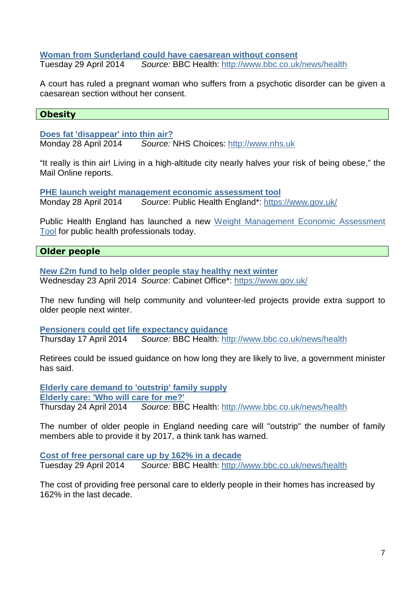#### **Woman from Sunderland could have caesarean without consent**

Tuesday 29 April 2014 Source: BBC Health: http://www.bbc.co.uk/news/health

A court has ruled a pregnant woman who suffers from a psychotic disorder can be given a caesarean section without her consent.

# **Obesity**

**Does fat 'disappear' into thin air?**

Monday 28 April 2014 Source: NHS Choices: http://www.nhs.uk

"It really is thin air! Living in a high-altitude city nearly halves your risk of being obese," the Mail Online reports.

**PHE launch weight management economic assessment tool** Monday 28 April 2014 Source: Public Health England\*: https://www.gov.uk/

Public Health England has launched a new Weight Management Economic Assessment Tool for public health professionals today.

# **Older people**

**New £2m fund to help older people stay healthy next winter** Wednesday 23 April 2014 Source: Cabinet Office\*: https://www.gov.uk/

The new funding will help community and volunteer-led projects provide extra support to older people next winter.

**Pensioners could get life expectancy guidance**

Thursday 17 April 2014 Source: BBC Health: http://www.bbc.co.uk/news/health

Retirees could be issued guidance on how long they are likely to live, a government minister has said.

**Elderly care demand to 'outstrip' family supply Elderly care: 'Who will care for me?'** Thursday 24 April 2014 Source: BBC Health: http://www.bbc.co.uk/news/health

The number of older people in England needing care will "outstrip" the number of family members able to provide it by 2017, a think tank has warned.

**Cost of free personal care up by 162% in a decade** Tuesday 29 April 2014 Source: BBC Health: http://www.bbc.co.uk/news/health

The cost of providing free personal care to elderly people in their homes has increased by 162% in the last decade.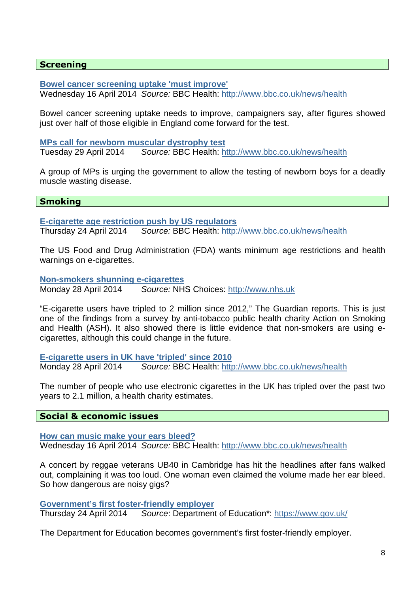## **Screening**

**Bowel cancer screening uptake 'must improve'**

Wednesday 16 April 2014 Source: BBC Health: http://www.bbc.co.uk/news/health

Bowel cancer screening uptake needs to improve, campaigners say, after figures showed just over half of those eligible in England come forward for the test.

**MPs call for newborn muscular dystrophy test**

Tuesday 29 April 2014 Source: BBC Health: http://www.bbc.co.uk/news/health

A group of MPs is urging the government to allow the testing of newborn boys for a deadly muscle wasting disease.

#### **Smoking**

**E-cigarette age restriction push by US regulators** Thursday 24 April 2014 Source: BBC Health: http://www.bbc.co.uk/news/health

The US Food and Drug Administration (FDA) wants minimum age restrictions and health warnings on e-cigarettes.

**Non-smokers shunning e-cigarettes**

Monday 28 April 2014 Source: NHS Choices: http://www.nhs.uk

"E-cigarette users have tripled to 2 million since 2012," The Guardian reports. This is just one of the findings from a survey by anti-tobacco public health charity Action on Smoking and Health (ASH). It also showed there is little evidence that non-smokers are using ecigarettes, although this could change in the future.

**E-cigarette users in UK have 'tripled' since 2010** Monday 28 April 2014 Source: BBC Health: http://www.bbc.co.uk/news/health

The number of people who use electronic cigarettes in the UK has tripled over the past two years to 2.1 million, a health charity estimates.

## **Social & economic issues**

**How can music make your ears bleed?** Wednesday 16 April 2014 Source: BBC Health: http://www.bbc.co.uk/news/health

A concert by reggae veterans UB40 in Cambridge has hit the headlines after fans walked out, complaining it was too loud. One woman even claimed the volume made her ear bleed. So how dangerous are noisy gigs?

**Government's first foster-friendly employer**

Thursday 24 April 2014 Source: Department of Education\*: https://www.gov.uk/

The Department for Education becomes government's first foster-friendly employer.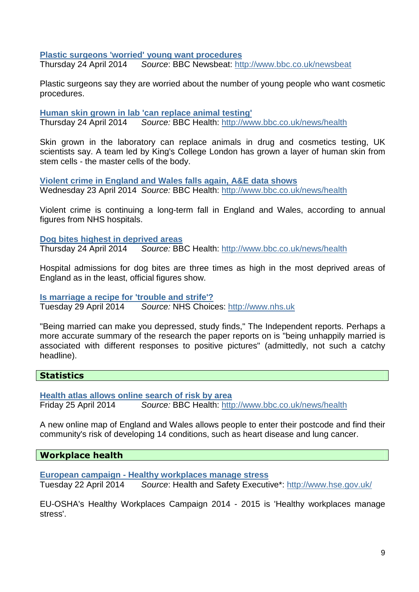**Plastic surgeons 'worried' young want procedures**

Thursday 24 April 2014 Source: BBC Newsbeat: http://www.bbc.co.uk/newsbeat

Plastic surgeons say they are worried about the number of young people who want cosmetic procedures.

**Human skin grown in lab 'can replace animal testing'**

Thursday 24 April 2014 Source: BBC Health: http://www.bbc.co.uk/news/health

Skin grown in the laboratory can replace animals in drug and cosmetics testing, UK scientists say. A team led by King's College London has grown a layer of human skin from stem cells - the master cells of the body.

**Violent crime in England and Wales falls again, A&E data shows** Wednesday 23 April 2014 Source: BBC Health: http://www.bbc.co.uk/news/health

Violent crime is continuing a long-term fall in England and Wales, according to annual figures from NHS hospitals.

**Dog bites highest in deprived areas** Thursday 24 April 2014 Source: BBC Health: http://www.bbc.co.uk/news/health

Hospital admissions for dog bites are three times as high in the most deprived areas of England as in the least, official figures show.

**Is marriage a recipe for 'trouble and strife'?** Tuesday 29 April 2014 Source: NHS Choices: http://www.nhs.uk

"Being married can make you depressed, study finds," The Independent reports. Perhaps a more accurate summary of the research the paper reports on is "being unhappily married is associated with different responses to positive pictures" (admittedly, not such a catchy headline).

## **Statistics**

**Health atlas allows online search of risk by area** Friday 25 April 2014 Source: BBC Health: http://www.bbc.co.uk/news/health

A new online map of England and Wales allows people to enter their postcode and find their community's risk of developing 14 conditions, such as heart disease and lung cancer.

**Workplace health** 

**European campaign - Healthy workplaces manage stress**

Tuesday 22 April 2014 Source: Health and Safety Executive\*: http://www.hse.gov.uk/

EU-OSHA's Healthy Workplaces Campaign 2014 - 2015 is 'Healthy workplaces manage stress'.